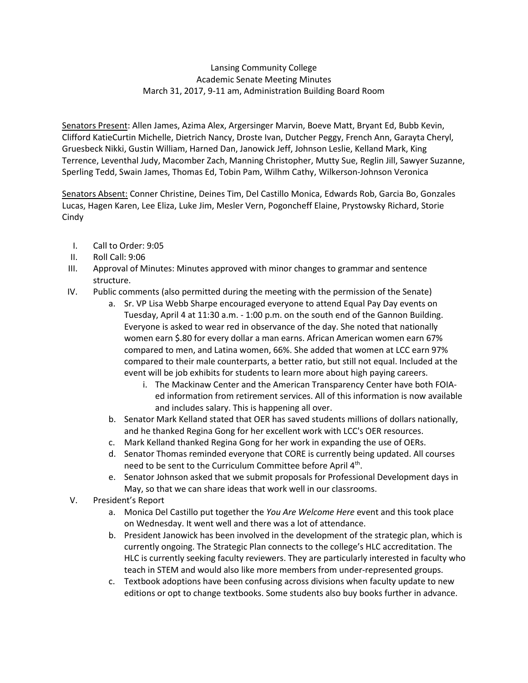## Lansing Community College Academic Senate Meeting Minutes March 31, 2017, 9-11 am, Administration Building Board Room

Senators Present: Allen James, Azima Alex, Argersinger Marvin, Boeve Matt, Bryant Ed, Bubb Kevin, Clifford KatieCurtin Michelle, Dietrich Nancy, Droste Ivan, Dutcher Peggy, French Ann, Garayta Cheryl, Gruesbeck Nikki, Gustin William, Harned Dan, Janowick Jeff, Johnson Leslie, Kelland Mark, King Terrence, Leventhal Judy, Macomber Zach, Manning Christopher, Mutty Sue, Reglin Jill, Sawyer Suzanne, Sperling Tedd, Swain James, Thomas Ed, Tobin Pam, Wilhm Cathy, Wilkerson-Johnson Veronica

Senators Absent: Conner Christine, Deines Tim, Del Castillo Monica, Edwards Rob, Garcia Bo, Gonzales Lucas, Hagen Karen, Lee Eliza, Luke Jim, Mesler Vern, Pogoncheff Elaine, Prystowsky Richard, Storie Cindy

- I. Call to Order: 9:05
- II. Roll Call: 9:06
- III. Approval of Minutes: Minutes approved with minor changes to grammar and sentence structure.
- IV. Public comments (also permitted during the meeting with the permission of the Senate)
	- a. Sr. VP Lisa Webb Sharpe encouraged everyone to attend Equal Pay Day events on Tuesday, April 4 at 11:30 a.m. - 1:00 p.m. on the south end of the Gannon Building. Everyone is asked to wear red in observance of the day. She noted that nationally women earn \$.80 for every dollar a man earns. African American women earn 67% compared to men, and Latina women, 66%. She added that women at LCC earn 97% compared to their male counterparts, a better ratio, but still not equal. Included at the event will be job exhibits for students to learn more about high paying careers.
		- i. The Mackinaw Center and the American Transparency Center have both FOIAed information from retirement services. All of this information is now available and includes salary. This is happening all over.
	- b. Senator Mark Kelland stated that OER has saved students millions of dollars nationally, and he thanked Regina Gong for her excellent work with LCC's OER resources.
	- c. Mark Kelland thanked Regina Gong for her work in expanding the use of OERs.
	- d. Senator Thomas reminded everyone that CORE is currently being updated. All courses need to be sent to the Curriculum Committee before April 4<sup>th</sup>.
	- e. Senator Johnson asked that we submit proposals for Professional Development days in May, so that we can share ideas that work well in our classrooms.
- V. President's Report
	- a. Monica Del Castillo put together the *You Are Welcome Here* event and this took place on Wednesday. It went well and there was a lot of attendance.
	- b. President Janowick has been involved in the development of the strategic plan, which is currently ongoing. The Strategic Plan connects to the college's HLC accreditation. The HLC is currently seeking faculty reviewers. They are particularly interested in faculty who teach in STEM and would also like more members from under-represented groups.
	- c. Textbook adoptions have been confusing across divisions when faculty update to new editions or opt to change textbooks. Some students also buy books further in advance.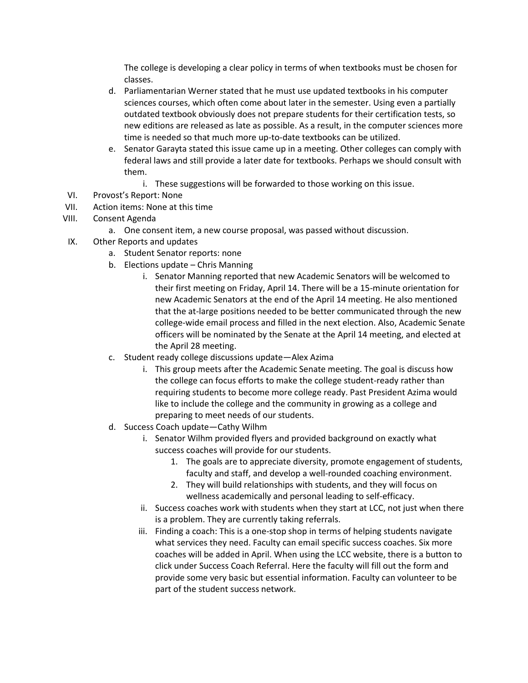The college is developing a clear policy in terms of when textbooks must be chosen for classes.

- d. Parliamentarian Werner stated that he must use updated textbooks in his computer sciences courses, which often come about later in the semester. Using even a partially outdated textbook obviously does not prepare students for their certification tests, so new editions are released as late as possible. As a result, in the computer sciences more time is needed so that much more up-to-date textbooks can be utilized.
- e. Senator Garayta stated this issue came up in a meeting. Other colleges can comply with federal laws and still provide a later date for textbooks. Perhaps we should consult with them.
	- i. These suggestions will be forwarded to those working on this issue.
- VI. Provost's Report: None
- VII. Action items: None at this time
- VIII. Consent Agenda
	- a. One consent item, a new course proposal, was passed without discussion.
- IX. Other Reports and updates
	- a. Student Senator reports: none
	- b. Elections update Chris Manning
		- i. Senator Manning reported that new Academic Senators will be welcomed to their first meeting on Friday, April 14. There will be a 15-minute orientation for new Academic Senators at the end of the April 14 meeting. He also mentioned that the at-large positions needed to be better communicated through the new college-wide email process and filled in the next election. Also, Academic Senate officers will be nominated by the Senate at the April 14 meeting, and elected at the April 28 meeting.
	- c. Student ready college discussions update—Alex Azima
		- i. This group meets after the Academic Senate meeting. The goal is discuss how the college can focus efforts to make the college student-ready rather than requiring students to become more college ready. Past President Azima would like to include the college and the community in growing as a college and preparing to meet needs of our students.
	- d. Success Coach update—Cathy Wilhm
		- i. Senator Wilhm provided flyers and provided background on exactly what success coaches will provide for our students.
			- 1. The goals are to appreciate diversity, promote engagement of students, faculty and staff, and develop a well-rounded coaching environment.
			- 2. They will build relationships with students, and they will focus on wellness academically and personal leading to self-efficacy.
		- ii. Success coaches work with students when they start at LCC, not just when there is a problem. They are currently taking referrals.
		- iii. Finding a coach: This is a one-stop shop in terms of helping students navigate what services they need. Faculty can email specific success coaches. Six more coaches will be added in April. When using the LCC website, there is a button to click under Success Coach Referral. Here the faculty will fill out the form and provide some very basic but essential information. Faculty can volunteer to be part of the student success network.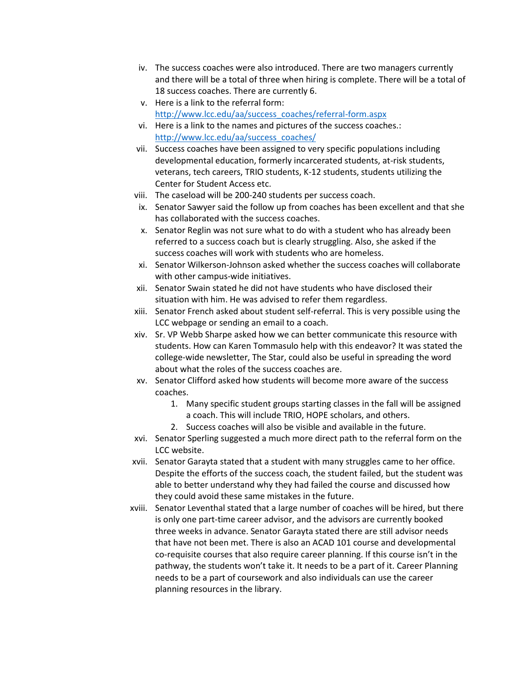- iv. The success coaches were also introduced. There are two managers currently and there will be a total of three when hiring is complete. There will be a total of 18 success coaches. There are currently 6.
- v. Here is a link to the referral form: [http://www.lcc.edu/aa/success\\_coaches/referral-form.aspx](http://www.lcc.edu/aa/success_coaches/referral-form.aspx)
- vi. Here is a link to the names and pictures of the success coaches.: [http://www.lcc.edu/aa/success\\_coaches/](http://www.lcc.edu/aa/success_coaches/)
- vii. Success coaches have been assigned to very specific populations including developmental education, formerly incarcerated students, at-risk students, veterans, tech careers, TRIO students, K-12 students, students utilizing the Center for Student Access etc.
- viii. The caseload will be 200-240 students per success coach.
- ix. Senator Sawyer said the follow up from coaches has been excellent and that she has collaborated with the success coaches.
- x. Senator Reglin was not sure what to do with a student who has already been referred to a success coach but is clearly struggling. Also, she asked if the success coaches will work with students who are homeless.
- xi. Senator Wilkerson-Johnson asked whether the success coaches will collaborate with other campus-wide initiatives.
- xii. Senator Swain stated he did not have students who have disclosed their situation with him. He was advised to refer them regardless.
- xiii. Senator French asked about student self-referral. This is very possible using the LCC webpage or sending an email to a coach.
- xiv. Sr. VP Webb Sharpe asked how we can better communicate this resource with students. How can Karen Tommasulo help with this endeavor? It was stated the college-wide newsletter, The Star, could also be useful in spreading the word about what the roles of the success coaches are.
- xv. Senator Clifford asked how students will become more aware of the success coaches.
	- 1. Many specific student groups starting classes in the fall will be assigned a coach. This will include TRIO, HOPE scholars, and others.
	- 2. Success coaches will also be visible and available in the future.
- xvi. Senator Sperling suggested a much more direct path to the referral form on the LCC website.
- xvii. Senator Garayta stated that a student with many struggles came to her office. Despite the efforts of the success coach, the student failed, but the student was able to better understand why they had failed the course and discussed how they could avoid these same mistakes in the future.
- xviii. Senator Leventhal stated that a large number of coaches will be hired, but there is only one part-time career advisor, and the advisors are currently booked three weeks in advance. Senator Garayta stated there are still advisor needs that have not been met. There is also an ACAD 101 course and developmental co-requisite courses that also require career planning. If this course isn't in the pathway, the students won't take it. It needs to be a part of it. Career Planning needs to be a part of coursework and also individuals can use the career planning resources in the library.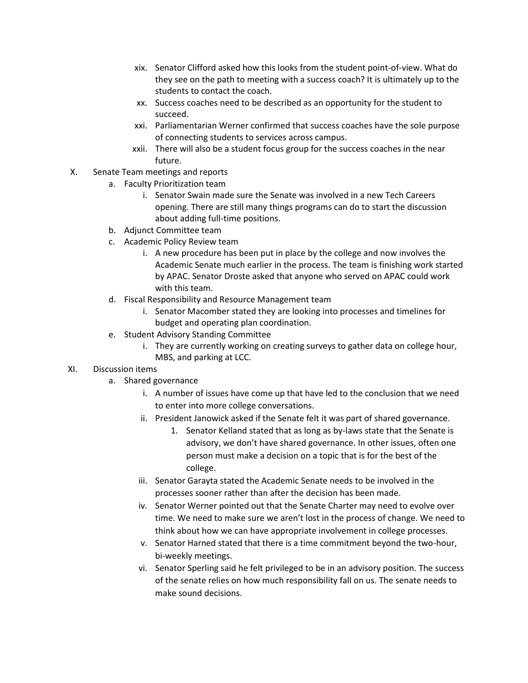- xix. Senator Clifford asked how this looks from the student point-of-view. What do they see on the path to meeting with a success coach? It is ultimately up to the students to contact the coach.
- xx. Success coaches need to be described as an opportunity for the student to succeed.
- xxi. Parliamentarian Werner confirmed that success coaches have the sole purpose of connecting students to services across campus.
- xxii. There will also be a student focus group for the success coaches in the near future.
- X. Senate Team meetings and reports
	- a. Faculty Prioritization team
		- i. Senator Swain made sure the Senate was involved in a new Tech Careers opening. There are still many things programs can do to start the discussion about adding full-time positions.
	- b. Adjunct Committee team
	- c. Academic Policy Review team
		- i. A new procedure has been put in place by the college and now involves the Academic Senate much earlier in the process. The team is finishing work started by APAC. Senator Droste asked that anyone who served on APAC could work with this team.
	- d. Fiscal Responsibility and Resource Management team
		- i. Senator Macomber stated they are looking into processes and timelines for budget and operating plan coordination.
	- e. Student Advisory Standing Committee
		- i. They are currently working on creating surveys to gather data on college hour, MBS, and parking at LCC.

## XI. Discussion items

- a. Shared governance
	- i. A number of issues have come up that have led to the conclusion that we need to enter into more college conversations.
	- ii. President Janowick asked if the Senate felt it was part of shared governance.
		- 1. Senator Kelland stated that as long as by-laws state that the Senate is advisory, we don't have shared governance. In other issues, often one person must make a decision on a topic that is for the best of the college.
	- iii. Senator Garayta stated the Academic Senate needs to be involved in the processes sooner rather than after the decision has been made.
	- iv. Senator Werner pointed out that the Senate Charter may need to evolve over time. We need to make sure we aren't lost in the process of change. We need to think about how we can have appropriate involvement in college processes.
	- v. Senator Harned stated that there is a time commitment beyond the two-hour, bi-weekly meetings.
	- vi. Senator Sperling said he felt privileged to be in an advisory position. The success of the senate relies on how much responsibility fall on us. The senate needs to make sound decisions.